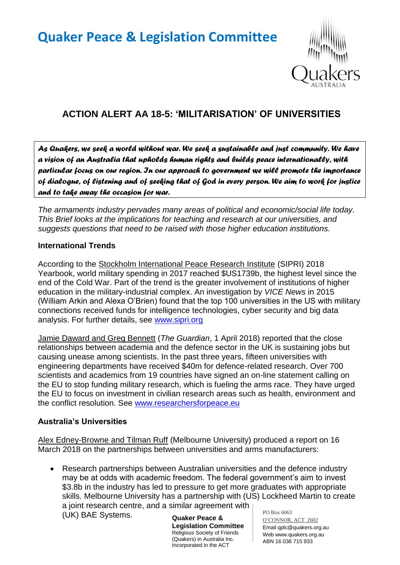# **Quaker Peace & Legislation Committee**



## **ACTION ALERT AA 18-5: 'MILITARISATION' OF UNIVERSITIES**

*As Quakers, we seek a world without war. We seek a sustainable and just community. We have a vision of an Australia that upholds human rights and builds peace internationally, with particular focus on our region. In our approach to government we will promote the importance of dialogue, of listening and of seeking that of God in every person. We aim to work for justice and to take away the occasion for war.* 

*The armaments industry pervades many areas of political and economic/social life today. This Brief looks at the implications for teaching and research at our universities, and suggests questions that need to be raised with those higher education institutions.*

#### **International Trends**

According to the Stockholm International Peace Research Institute (SIPRI) 2018 Yearbook, world military spending in 2017 reached \$US1739b, the highest level since the end of the Cold War. Part of the trend is the greater involvement of institutions of higher education in the military-industrial complex. An investigation by *VICE News* in 2015 (William Arkin and Alexa O'Brien) found that the top 100 universities in the US with military connections received funds for intelligence technologies, cyber security and big data analysis. For further details, see [www.sipri.org](http://www.sipri.org/)

Jamie Daward and Greg Bennett (*The Guardian*, 1 April 2018) reported that the close relationships between academia and the defence sector in the UK is sustaining jobs but causing unease among scientists. In the past three years, fifteen universities with engineering departments have received \$40m for defence-related research. Over 700 scientists and academics from 19 countries have signed an on-line statement calling on the EU to stop funding military research, which is fueling the arms race. They have urged the EU to focus on investment in civilian research areas such as health, environment and the conflict resolution. See [www.researchersforpeace.eu](http://www.researchersforpeace.eu/)

#### **Australia's Universities**

Alex Edney-Browne and Tilman Ruff (Melbourne University) produced a report on 16 March 2018 on the partnerships between universities and arms manufacturers:

PO Box 6063 Research partnerships between Australian universities and the defence industry may be at odds with academic freedom. The federal government's aim to invest \$3.8b in the industry has led to pressure to get more graduates with appropriate skills. Melbourne University has a partnership with (US) Lockheed Martin to create a joint research centre, and a similar agreement with (UK) BAE Systems.

**Quaker Peace & Legislation Committee** Religious Society of Friends (Quakers) in Australia Inc. Incorporated in the ACT

O'CONNOR, ACT 2602 Email qplc@quakers.org.au Web www.quakers.org.au ABN 16 036 715 933